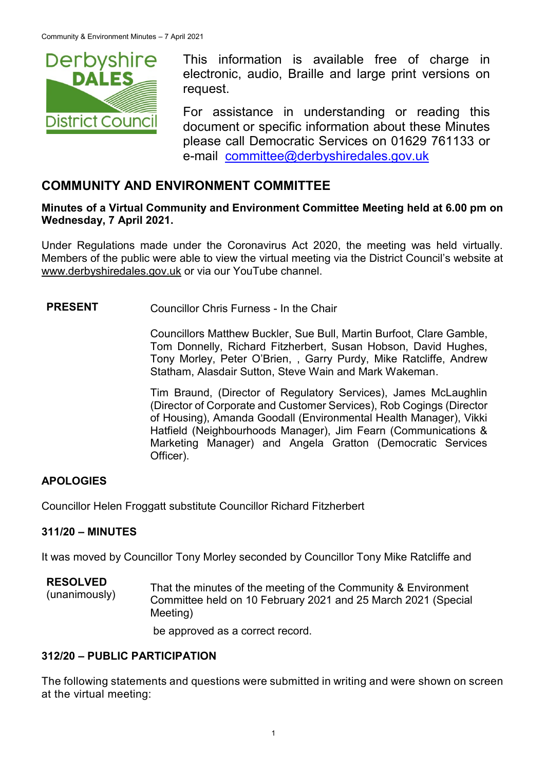

This information is available free of charge in electronic, audio, Braille and large print versions on request.

For assistance in understanding or reading this document or specific information about these Minutes please call Democratic Services on 01629 761133 or e-mail [committee@derbyshiredales.gov.uk](mailto:brian.evans@derbyshiredales.gov.uk)

# **COMMUNITY AND ENVIRONMENT COMMITTEE**

### **Minutes of a Virtual Community and Environment Committee Meeting held at 6.00 pm on Wednesday, 7 April 2021.**

Under Regulations made under the Coronavirus Act 2020, the meeting was held virtually. Members of the public were able to view the virtual meeting via the District Council's website at [www.derbyshiredales.gov.uk](http://www.derbyshiredales.gov.uk/) or via our YouTube channel.

# **PRESENT** Councillor Chris Furness - In the Chair

Councillors Matthew Buckler, Sue Bull, Martin Burfoot, Clare Gamble, Tom Donnelly, Richard Fitzherbert, Susan Hobson, David Hughes, Tony Morley, Peter O'Brien, , Garry Purdy, Mike Ratcliffe, Andrew Statham, Alasdair Sutton, Steve Wain and Mark Wakeman.

Tim Braund, (Director of Regulatory Services), James McLaughlin (Director of Corporate and Customer Services), Rob Cogings (Director of Housing), Amanda Goodall (Environmental Health Manager), Vikki Hatfield (Neighbourhoods Manager), Jim Fearn (Communications & Marketing Manager) and Angela Gratton (Democratic Services Officer).

# **APOLOGIES**

Councillor Helen Froggatt substitute Councillor Richard Fitzherbert

### **311/20 – MINUTES**

It was moved by Councillor Tony Morley seconded by Councillor Tony Mike Ratcliffe and

**RESOLVED** ESULVED<br>(unanimously) That the minutes of the meeting of the Community & Environment<br>Committee held an 10 February 2021 and 25 March 2021 (Special Committee held on 10 February 2021 and 25 March 2021 (Special Meeting)

be approved as a correct record.

### **312/20 – PUBLIC PARTICIPATION**

The following statements and questions were submitted in writing and were shown on screen at the virtual meeting: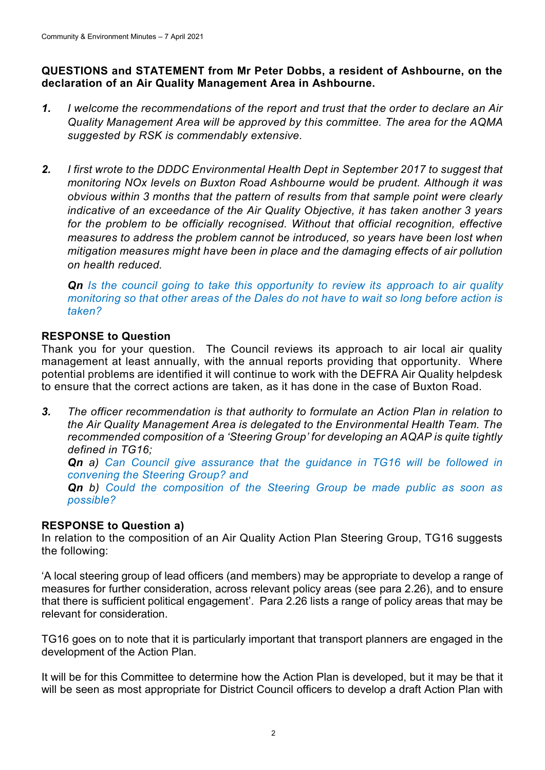### **QUESTIONS and STATEMENT from Mr Peter Dobbs, a resident of Ashbourne, on the declaration of an Air Quality Management Area in Ashbourne.**

- *1. I welcome the recommendations of the report and trust that the order to declare an Air Quality Management Area will be approved by this committee. The area for the AQMA suggested by RSK is commendably extensive.*
- *2. I first wrote to the DDDC Environmental Health Dept in September 2017 to suggest that monitoring NOx levels on Buxton Road Ashbourne would be prudent. Although it was obvious within 3 months that the pattern of results from that sample point were clearly indicative of an exceedance of the Air Quality Objective, it has taken another 3 years for the problem to be officially recognised. Without that official recognition, effective measures to address the problem cannot be introduced, so years have been lost when mitigation measures might have been in place and the damaging effects of air pollution on health reduced.*

*Qn Is the council going to take this opportunity to review its approach to air quality monitoring so that other areas of the Dales do not have to wait so long before action is taken?*

# **RESPONSE to Question**

Thank you for your question. The Council reviews its approach to air local air quality management at least annually, with the annual reports providing that opportunity. Where potential problems are identified it will continue to work with the DEFRA Air Quality helpdesk to ensure that the correct actions are taken, as it has done in the case of Buxton Road.

*3. The officer recommendation is that authority to formulate an Action Plan in relation to the Air Quality Management Area is delegated to the Environmental Health Team. The recommended composition of a 'Steering Group' for developing an AQAP is quite tightly defined in TG16;* **Qn** a) Can Council give assurance that the guidance in TG16 will be followed in *convening the Steering Group? and Qn b) Could the composition of the Steering Group be made public as soon as possible?*

# **RESPONSE to Question a)**

In relation to the composition of an Air Quality Action Plan Steering Group, TG16 suggests the following:

'A local steering group of lead officers (and members) may be appropriate to develop a range of measures for further consideration, across relevant policy areas (see para 2.26), and to ensure that there is sufficient political engagement'. Para 2.26 lists a range of policy areas that may be relevant for consideration.

TG16 goes on to note that it is particularly important that transport planners are engaged in the development of the Action Plan.

It will be for this Committee to determine how the Action Plan is developed, but it may be that it will be seen as most appropriate for District Council officers to develop a draft Action Plan with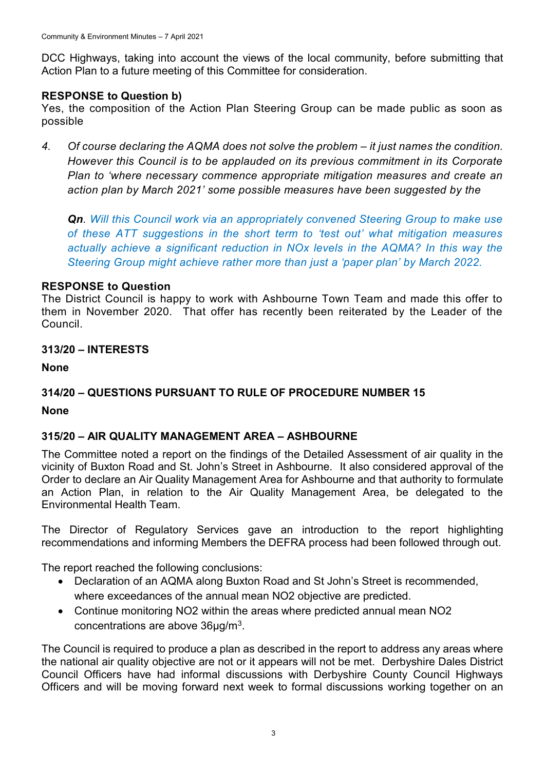DCC Highways, taking into account the views of the local community, before submitting that Action Plan to a future meeting of this Committee for consideration.

### **RESPONSE to Question b)**

Yes, the composition of the Action Plan Steering Group can be made public as soon as possible

4. Of course declaring the AQMA does not solve the problem – it just names the condition. *However this Council is to be applauded on its previous commitment in its Corporate Plan to 'where necessary commence appropriate mitigation measures and create an action plan by March 2021' some possible measures have been suggested by the* 

*Qn. Will this Council work via an appropriately convened Steering Group to make use of these ATT suggestions in the short term to 'test out' what mitigation measures actually achieve a significant reduction in NOx levels in the AQMA? In this way the Steering Group might achieve rather more than just a 'paper plan' by March 2022.*

### **RESPONSE to Question**

The District Council is happy to work with Ashbourne Town Team and made this offer to them in November 2020. That offer has recently been reiterated by the Leader of the Council.

### **313/20 – INTERESTS**

**None**

# **314/20 – QUESTIONS PURSUANT TO RULE OF PROCEDURE NUMBER 15**

### **None**

# **315/20 – AIR QUALITY MANAGEMENT AREA – ASHBOURNE**

The Committee noted a report on the findings of the Detailed Assessment of air quality in the vicinity of Buxton Road and St. John's Street in Ashbourne. It also considered approval of the Order to declare an Air Quality Management Area for Ashbourne and that authority to formulate an Action Plan, in relation to the Air Quality Management Area, be delegated to the Environmental Health Team.

The Director of Regulatory Services gave an introduction to the report highlighting recommendations and informing Members the DEFRA process had been followed through out.

The report reached the following conclusions:

- Declaration of an AQMA along Buxton Road and St John's Street is recommended, where exceedances of the annual mean NO2 objective are predicted.
- Continue monitoring NO2 within the areas where predicted annual mean NO2 concentrations are above  $36\mu g/m^3$ .

The Council is required to produce a plan as described in the report to address any areas where the national air quality objective are not or it appears will not be met. Derbyshire Dales District Council Officers have had informal discussions with Derbyshire County Council Highways Officers and will be moving forward next week to formal discussions working together on an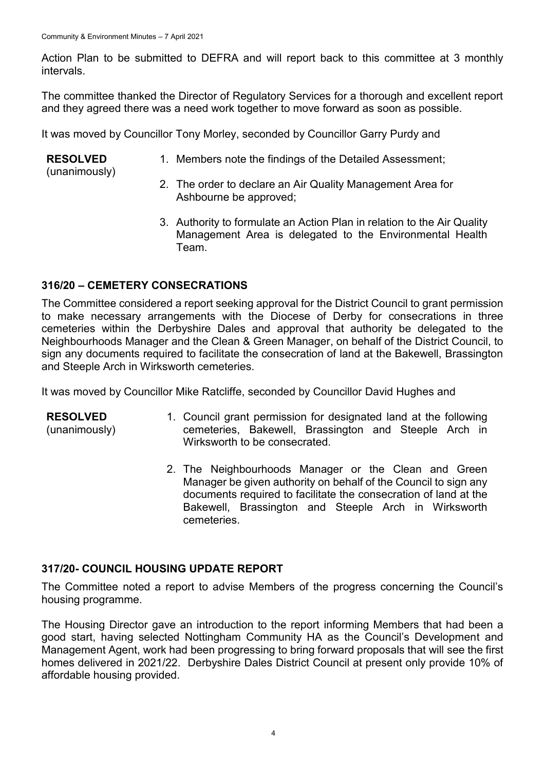Action Plan to be submitted to DEFRA and will report back to this committee at 3 monthly intervals.

The committee thanked the Director of Regulatory Services for a thorough and excellent report and they agreed there was a need work together to move forward as soon as possible.

It was moved by Councillor Tony Morley, seconded by Councillor Garry Purdy and

#### **RESOLVED**

1. Members note the findings of the Detailed Assessment;

(unanimously)

- 2. The order to declare an Air Quality Management Area for Ashbourne be approved;
- 3. Authority to formulate an Action Plan in relation to the Air Quality Management Area is delegated to the Environmental Health Team.

# **316/20 – CEMETERY CONSECRATIONS**

The Committee considered a report seeking approval for the District Council to grant permission to make necessary arrangements with the Diocese of Derby for consecrations in three cemeteries within the Derbyshire Dales and approval that authority be delegated to the Neighbourhoods Manager and the Clean & Green Manager, on behalf of the District Council, to sign any documents required to facilitate the consecration of land at the Bakewell, Brassington and Steeple Arch in Wirksworth cemeteries.

It was moved by Councillor Mike Ratcliffe, seconded by Councillor David Hughes and

- **RESOLVED** (unanimously) 1. Council grant permission for designated land at the following cemeteries, Bakewell, Brassington and Steeple Arch in Wirksworth to be consecrated.
	- 2. The Neighbourhoods Manager or the Clean and Green Manager be given authority on behalf of the Council to sign any documents required to facilitate the consecration of land at the Bakewell, Brassington and Steeple Arch in Wirksworth cemeteries.

# **317/20- COUNCIL HOUSING UPDATE REPORT**

The Committee noted a report to advise Members of the progress concerning the Council's housing programme.

The Housing Director gave an introduction to the report informing Members that had been a good start, having selected Nottingham Community HA as the Council's Development and Management Agent, work had been progressing to bring forward proposals that will see the first homes delivered in 2021/22. Derbyshire Dales District Council at present only provide 10% of affordable housing provided.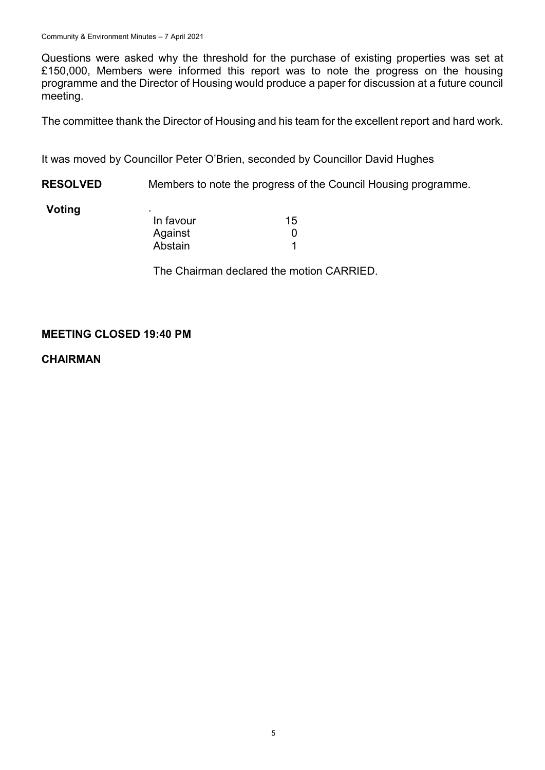Questions were asked why the threshold for the purchase of existing properties was set at £150,000, Members were informed this report was to note the progress on the housing programme and the Director of Housing would produce a paper for discussion at a future council meeting.

The committee thank the Director of Housing and his team for the excellent report and hard work.

It was moved by Councillor Peter O'Brien, seconded by Councillor David Hughes

**RESOLVED** Members to note the progress of the Council Housing programme.

#### **Voting**

| ٠         |    |
|-----------|----|
| In favour | 15 |
| Against   | ŋ  |
| Abstain   |    |

The Chairman declared the motion CARRIED.

# **MEETING CLOSED 19:40 PM**

**CHAIRMAN**